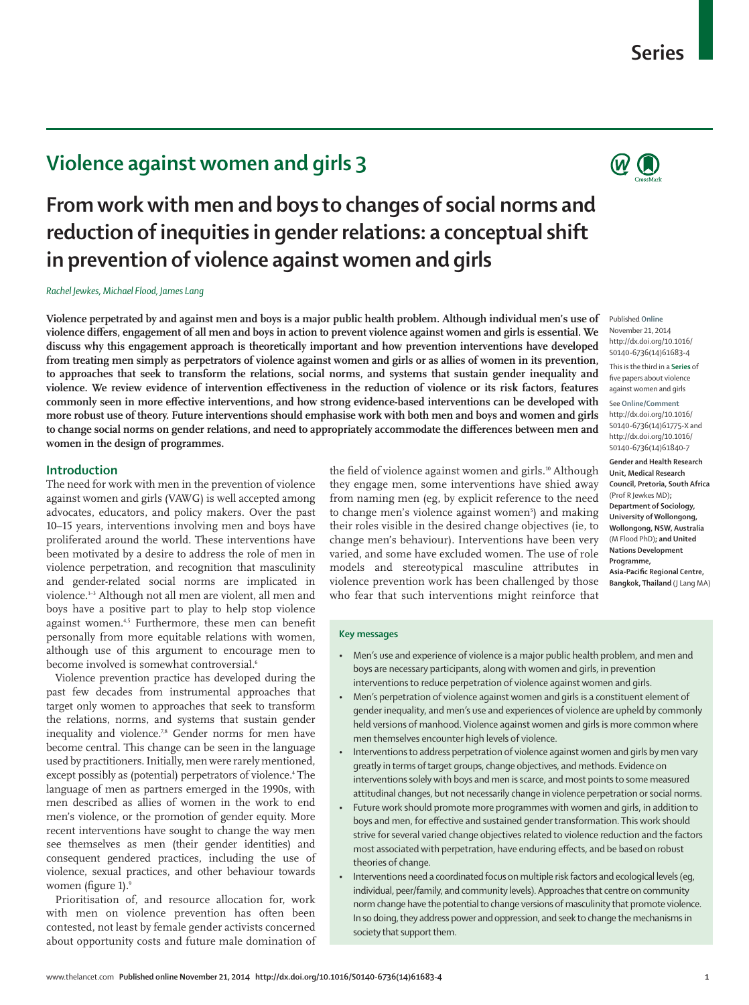# **Violence against women and girls 3**



# **From work with men and boys to changes of social norms and reduction of inequities in gender relations: a conceptual shift in prevention of violence against women and girls**

*Rachel Jewkes, Michael Flood, James Lang*

**Violence perpetrated by and against men and boys is a major public health problem. Although individual men's use of violence differs, engagement of all men and boys in action to prevent violence against women and girls is essential. We discuss why this engagement approach is theoretically important and how prevention interventions have developed from treating men simply as perpetrators of violence against women and girls or as allies of women in its prevention, to approaches that seek to transform the relations, social norms, and systems that sustain gender inequality and violence. We review evidence of intervention effectiveness in the reduction of violence or its risk factors, features commonly seen in more effective interventions, and how strong evidence-based interventions can be developed with more robust use of theory. Future interventions should emphasise work with both men and boys and women and girls to change social norms on gender relations, and need to appropriately accommodate the differences between men and women in the design of programmes.**

# **Introduction**

The need for work with men in the prevention of violence against women and girls (VAWG) is well accepted among advocates, educators, and policy makers. Over the past 10–15 years, interventions involving men and boys have proliferated around the world. These interventions have been motivated by a desire to address the role of men in violence perpetration, and recognition that masculinity and gender-related social norms are implicated in violence.1–3 Although not all men are violent, all men and boys have a positive part to play to help stop violence against women.<sup>4,5</sup> Furthermore, these men can benefit personally from more equitable relations with women, although use of this argument to encourage men to become involved is somewhat controversial.<sup>6</sup>

Violence prevention practice has developed during the past few decades from instrumental approaches that target only women to approaches that seek to transform the relations, norms, and systems that sustain gender inequality and violence.<sup>7,8</sup> Gender norms for men have become central. This change can be seen in the language used by practitioners. Initially, men were rarely mentioned, except possibly as (potential) perpetrators of violence.<sup>4</sup> The language of men as partners emerged in the 1990s, with men described as allies of women in the work to end men's violence, or the promotion of gender equity. More recent interventions have sought to change the way men see themselves as men (their gender identities) and consequent gendered practices, including the use of violence, sexual practices, and other behaviour towards women (figure 1).<sup>9</sup>

Prioritisation of, and resource allocation for, work with men on violence prevention has often been contested, not least by female gender activists concerned about opportunity costs and future male domination of the field of violence against women and girls.<sup>10</sup> Although they engage men, some interventions have shied away from naming men (eg, by explicit reference to the need to change men's violence against women<sup>5</sup>) and making their roles visible in the desired change objectives (ie, to change men's behaviour). Interventions have been very varied, and some have excluded women. The use of role models and stereotypical masculine attributes in violence prevention work has been challenged by those who fear that such interventions might reinforce that

Published **Online** November 21, 2014 http://dx.doi.org/10.1016/ S0140-6736(14)61683-4

This is the third in a **Series** of five papers about violence against women and girls

See **Online/Comment** http://dx.doi.org/10.1016/ S0140-6736(14)61775-X and http://dx.doi.org/10.1016/ S0140-6736(14)61840-7

**Gender and Health Research Unit, Medical Research Council, Pretoria, South Africa**  (Prof R Jewkes MD)**; Department of Sociology, University of Wollongong, Wollongong, NSW, Australia**  (M Flood PhD)**; and United Nations Development Programme, Asia-Pacific Regional Centre, Bangkok, Thailand** (J Lang MA)

# **Key messages**

- Men's use and experience of violence is a major public health problem, and men and boys are necessary participants, along with women and girls, in prevention interventions to reduce perpetration of violence against women and girls.
- Men's perpetration of violence against women and girls is a constituent element of gender inequality, and men's use and experiences of violence are upheld by commonly held versions of manhood. Violence against women and girls is more common where men themselves encounter high levels of violence.
- Interventions to address perpetration of violence against women and girls by men vary greatly in terms of target groups, change objectives, and methods. Evidence on interventions solely with boys and men is scarce, and most points to some measured attitudinal changes, but not necessarily change in violence perpetration or social norms.
- Future work should promote more programmes with women and girls, in addition to boys and men, for effective and sustained gender transformation. This work should strive for several varied change objectives related to violence reduction and the factors most associated with perpetration, have enduring effects, and be based on robust theories of change.
- Interventions need a coordinated focus on multiple risk factors and ecological levels (eq, individual, peer/family, and community levels). Approaches that centre on community norm change have the potential to change versions of masculinity that promote violence. In so doing, they address power and oppression, and seek to change the mechanisms in society that support them.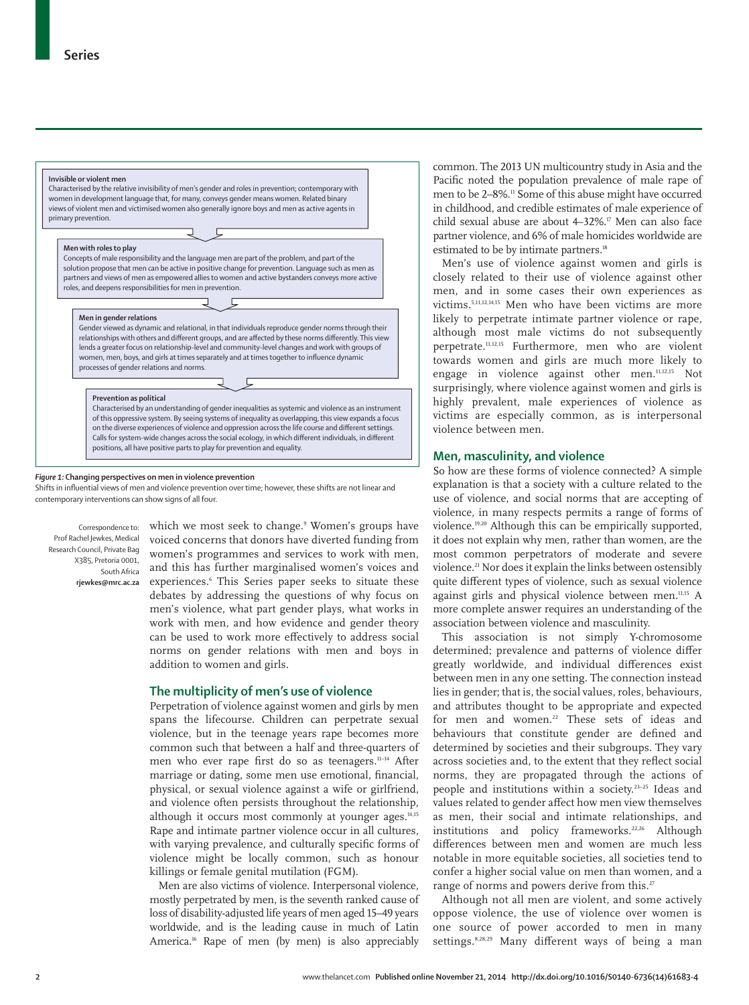

### *Figure 1:* **Changing perspectives on men in violence prevention**

Shifts in influential views of men and violence prevention over time; however, these shifts are not linear and contemporary interventions can show signs of all four.

Correspondence to: Prof Rachel Jewkes, Medical Research Council, Private Bag X385, Pretoria 0001, South Africa **rjewkes@mrc.ac.za**

which we most seek to change.9 Women's groups have voiced concerns that donors have diverted funding from women's programmes and services to work with men, and this has further marginalised women's voices and experiences.6 This Series paper seeks to situate these debates by addressing the questions of why focus on men's violence, what part gender plays, what works in work with men, and how evidence and gender theory can be used to work more effectively to address social norms on gender relations with men and boys in addition to women and girls.

# **The multiplicity of men's use of violence**

Perpetration of violence against women and girls by men spans the lifecourse. Children can perpetrate sexual violence, but in the teenage years rape becomes more common such that between a half and three-quarters of men who ever rape first do so as teenagers.11–14 After marriage or dating, some men use emotional, financial, physical, or sexual violence against a wife or girlfriend, and violence often persists throughout the relationship, although it occurs most commonly at younger ages.<sup>14,15</sup> Rape and intimate partner violence occur in all cultures, with varying prevalence, and culturally specific forms of violence might be locally common, such as honour killings or female genital mutilation (FGM).

Men are also victims of violence. Interpersonal violence, mostly perpetrated by men, is the seventh ranked cause of loss of disability-adjusted life years of men aged 15–49 years worldwide, and is the leading cause in much of Latin America.<sup>16</sup> Rape of men (by men) is also appreciably

common. The 2013 UN multicountry study in Asia and the Pacific noted the population prevalence of male rape of men to be 2-8%.<sup>11</sup> Some of this abuse might have occurred in childhood, and credible estimates of male experience of child sexual abuse are about 4–32%.17 Men can also face partner violence, and 6% of male homicides worldwide are estimated to be by intimate partners.<sup>18</sup>

Men's use of violence against women and girls is closely related to their use of violence against other men, and in some cases their own experiences as victims.5,11,12,14,15 Men who have been victims are more likely to perpetrate intimate partner violence or rape, although most male victims do not subsequently perpetrate.11,12,15 Furthermore, men who are violent towards women and girls are much more likely to engage in violence against other men.11,12,15 Not surprisingly, where violence against women and girls is highly prevalent, male experiences of violence as victims are especially common, as is interpersonal violence between men.

# **Men, masculinity, and violence**

So how are these forms of violence connected? A simple explanation is that a society with a culture related to the use of violence, and social norms that are accepting of violence, in many respects permits a range of forms of violence.19,20 Although this can be empirically supported, it does not explain why men, rather than women, are the most common perpetrators of moderate and severe violence.<sup>21</sup> Nor does it explain the links between ostensibly quite different types of violence, such as sexual violence against girls and physical violence between men.<sup>11,15</sup> A more complete answer requires an understanding of the association between violence and masculinity.

This association is not simply Y-chromosome determined; prevalence and patterns of violence differ greatly worldwide, and individual differences exist between men in any one setting. The connection instead lies in gender; that is, the social values, roles, behaviours, and attributes thought to be appropriate and expected for men and women.<sup>22</sup> These sets of ideas and behaviours that constitute gender are defined and determined by societies and their subgroups. They vary across societies and, to the extent that they reflect social norms, they are propagated through the actions of people and institutions within a society.<sup>23-25</sup> Ideas and values related to gender affect how men view themselves as men, their social and intimate relationships, and institutions and policy frameworks.<sup>22,26</sup> Although differences between men and women are much less notable in more equitable societies, all societies tend to confer a higher social value on men than women, and a range of norms and powers derive from this.<sup>27</sup>

Although not all men are violent, and some actively oppose violence, the use of violence over women is one source of power accorded to men in many settings.8,28,29 Many different ways of being a man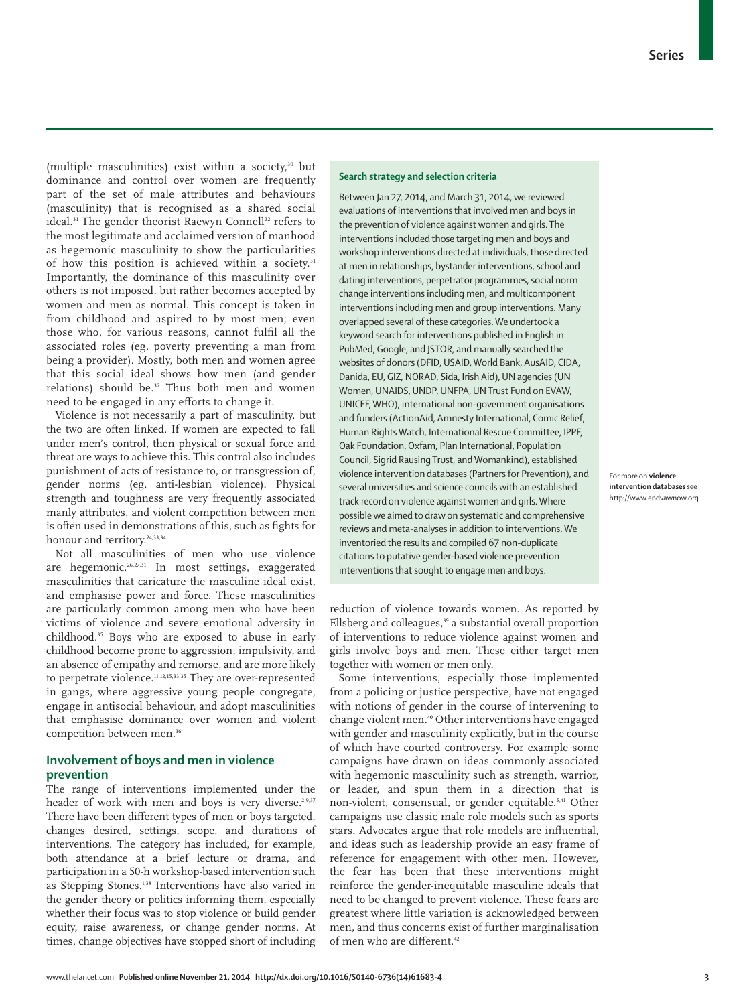(multiple masculinities) exist within a society, $30$  but dominance and control over women are frequently part of the set of male attributes and behaviours (masculinity) that is recognised as a shared social ideal.<sup>31</sup> The gender theorist Raewyn Connell<sup>22</sup> refers to the most legitimate and acclaimed version of manhood as hegemonic masculinity to show the particularities of how this position is achieved within a society.<sup>31</sup> Importantly, the dominance of this masculinity over others is not imposed, but rather becomes accepted by women and men as normal. This concept is taken in from childhood and aspired to by most men; even those who, for various reasons, cannot fulfil all the associated roles (eg, poverty preventing a man from being a provider). Mostly, both men and women agree that this social ideal shows how men (and gender relations) should be.<sup>32</sup> Thus both men and women need to be engaged in any efforts to change it.

Violence is not necessarily a part of masculinity, but the two are often linked. If women are expected to fall under men's control, then physical or sexual force and threat are ways to achieve this. This control also includes punishment of acts of resistance to, or transgression of, gender norms (eg, anti-lesbian violence). Physical strength and toughness are very frequently associated manly attributes, and violent competition between men is often used in demonstrations of this, such as fights for honour and territory.<sup>24,33,34</sup>

Not all masculinities of men who use violence are hegemonic.26,27,31 In most settings, exaggerated masculinities that caricature the masculine ideal exist, and emphasise power and force. These masculinities are particularly common among men who have been victims of violence and severe emotional adversity in childhood.35 Boys who are exposed to abuse in early childhood become prone to aggression, impulsivity, and an absence of empathy and remorse, and are more likely to perpetrate violence.<sup>11,12,15,33,35</sup> They are over-represented in gangs, where aggressive young people congregate, engage in antisocial behaviour, and adopt masculinities that emphasise dominance over women and violent competition between men.<sup>36</sup>

# **Involvement of boys and men in violence prevention**

The range of interventions implemented under the header of work with men and boys is very diverse.<sup>2,9,37</sup> There have been different types of men or boys targeted, changes desired, settings, scope, and durations of interventions. The category has included, for example, both attendance at a brief lecture or drama, and participation in a 50-h workshop-based intervention such as Stepping Stones.<sup>1,38</sup> Interventions have also varied in the gender theory or politics informing them, especially whether their focus was to stop violence or build gender equity, raise awareness, or change gender norms. At times, change objectives have stopped short of including

## **Search strategy and selection criteria**

Between Jan 27, 2014, and March 31, 2014, we reviewed evaluations of interventions that involved men and boys in the prevention of violence against women and girls. The interventions included those targeting men and boys and workshop interventions directed at individuals, those directed at men in relationships, bystander interventions, school and dating interventions, perpetrator programmes, social norm change interventions including men, and multicomponent interventions including men and group interventions. Many overlapped several of these categories. We undertook a keyword search for interventions published in English in PubMed, Google, and JSTOR, and manually searched the websites of donors (DFID, USAID, World Bank, AusAID, CIDA, Danida, EU, GIZ, NORAD, Sida, Irish Aid), UN agencies (UN Women, UNAIDS, UNDP, UNFPA, UN Trust Fund on EVAW, UNICEF, WHO), international non-government organisations and funders (ActionAid, Amnesty International, Comic Relief, Human Rights Watch, International Rescue Committee, IPPF, Oak Foundation, Oxfam, Plan International, Population Council, Sigrid Rausing Trust, and Womankind), established violence intervention databases (Partners for Prevention), and several universities and science councils with an established track record on violence against women and girls. Where possible we aimed to draw on systematic and comprehensive reviews and meta-analyses in addition to interventions. We inventoried the results and compiled 67 non-duplicate citations to putative gender-based violence prevention interventions that sought to engage men and boys.

reduction of violence towards women. As reported by Ellsberg and colleagues,<sup>39</sup> a substantial overall proportion of interventions to reduce violence against women and girls involve boys and men. These either target men together with women or men only.

Some interventions, especially those implemented from a policing or justice perspective, have not engaged with notions of gender in the course of intervening to change violent men.40 Other interventions have engaged with gender and masculinity explicitly, but in the course of which have courted controversy. For example some campaigns have drawn on ideas commonly associated with hegemonic masculinity such as strength, warrior, or leader, and spun them in a direction that is non-violent, consensual, or gender equitable.<sup>5,41</sup> Other campaigns use classic male role models such as sports stars. Advocates argue that role models are influential, and ideas such as leadership provide an easy frame of reference for engagement with other men. However, the fear has been that these interventions might reinforce the gender-inequitable masculine ideals that need to be changed to prevent violence. These fears are greatest where little variation is acknowledged between men, and thus concerns exist of further marginalisation of men who are different.<sup>42</sup>

For more on **violence intervention databases** see http://www.endvawnow.org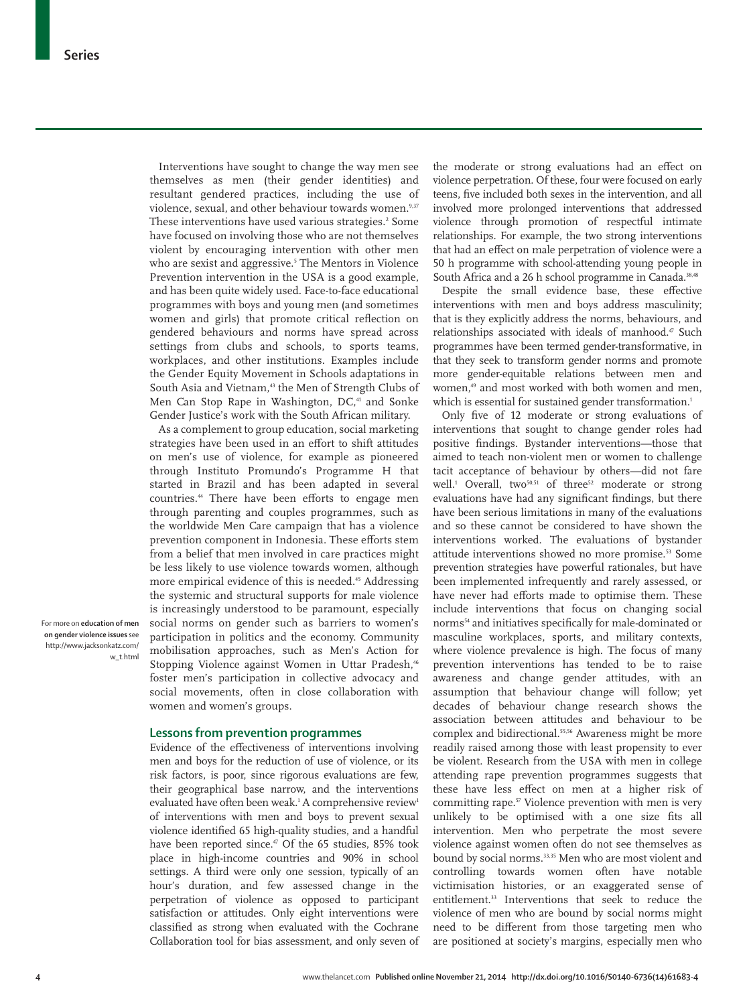Interventions have sought to change the way men see themselves as men (their gender identities) and resultant gendered practices, including the use of violence, sexual, and other behaviour towards women.<sup>9,37</sup> These interventions have used various strategies.<sup>2</sup> Some have focused on involving those who are not themselves violent by encouraging intervention with other men who are sexist and aggressive.5 The Mentors in Violence Prevention intervention in the USA is a good example, and has been quite widely used. Face-to-face educational programmes with boys and young men (and sometimes women and girls) that promote critical reflection on gendered behaviours and norms have spread across settings from clubs and schools, to sports teams, workplaces, and other institutions. Examples include the Gender Equity Movement in Schools adaptations in South Asia and Vietnam,<sup>43</sup> the Men of Strength Clubs of Men Can Stop Rape in Washington, DC,<sup>41</sup> and Sonke Gender Justice's work with the South African military.

As a complement to group education, social marketing strategies have been used in an effort to shift attitudes on men's use of violence, for example as pioneered through Instituto Promundo's Programme H that started in Brazil and has been adapted in several countries.<sup>44</sup> There have been efforts to engage men through parenting and couples programmes, such as the worldwide Men Care campaign that has a violence prevention component in Indonesia. These efforts stem from a belief that men involved in care practices might be less likely to use violence towards women, although more empirical evidence of this is needed.<sup>45</sup> Addressing the systemic and structural supports for male violence is increasingly understood to be paramount, especially social norms on gender such as barriers to women's participation in politics and the economy. Community mobilisation approaches, such as Men's Action for Stopping Violence against Women in Uttar Pradesh,<sup>46</sup> foster men's participation in collective advocacy and social movements, often in close collaboration with women and women's groups.

## **Lessons from prevention programmes**

Evidence of the effectiveness of interventions involving men and boys for the reduction of use of violence, or its risk factors, is poor, since rigorous evaluations are few, their geographical base narrow, and the interventions evaluated have often been weak.<sup>1</sup> A comprehensive review<sup>1</sup> of interventions with men and boys to prevent sexual violence identified 65 high-quality studies, and a handful have been reported since.<sup>47</sup> Of the 65 studies, 85% took place in high-income countries and 90% in school settings. A third were only one session, typically of an hour's duration, and few assessed change in the perpetration of violence as opposed to participant satisfaction or attitudes. Only eight interventions were classified as strong when evaluated with the Cochrane Collaboration tool for bias assessment, and only seven of

the moderate or strong evaluations had an effect on violence perpetration. Of these, four were focused on early teens, five included both sexes in the intervention, and all involved more prolonged interventions that addressed violence through promotion of respectful intimate relationships. For example, the two strong interventions that had an effect on male perpetration of violence were a 50 h programme with school-attending young people in South Africa and a 26 h school programme in Canada.<sup>38,48</sup>

Despite the small evidence base, these effective interventions with men and boys address masculinity; that is they explicitly address the norms, behaviours, and relationships associated with ideals of manhood.<sup>47</sup> Such programmes have been termed gender-transformative, in that they seek to transform gender norms and promote more gender-equitable relations between men and women,<sup>49</sup> and most worked with both women and men, which is essential for sustained gender transformation.<sup>1</sup>

Only five of 12 moderate or strong evaluations of interventions that sought to change gender roles had positive findings. Bystander interventions—those that aimed to teach non-violent men or women to challenge tacit acceptance of behaviour by others—did not fare well.<sup>1</sup> Overall, two<sup>50,51</sup> of three<sup>52</sup> moderate or strong evaluations have had any significant findings, but there have been serious limitations in many of the evaluations and so these cannot be considered to have shown the interventions worked. The evaluations of bystander attitude interventions showed no more promise.<sup>53</sup> Some prevention strategies have powerful rationales, but have been implemented infrequently and rarely assessed, or have never had efforts made to optimise them. These include interventions that focus on changing social norms54 and initiatives specifically for male-dominated or masculine workplaces, sports, and military contexts, where violence prevalence is high. The focus of many prevention interventions has tended to be to raise awareness and change gender attitudes, with an assumption that behaviour change will follow; yet decades of behaviour change research shows the association between attitudes and behaviour to be complex and bidirectional.55,56 Awareness might be more readily raised among those with least propensity to ever be violent. Research from the USA with men in college attending rape prevention programmes suggests that these have less effect on men at a higher risk of committing rape.<sup>57</sup> Violence prevention with men is very unlikely to be optimised with a one size fits all intervention. Men who perpetrate the most severe violence against women often do not see themselves as bound by social norms.<sup>33,35</sup> Men who are most violent and controlling towards women often have notable victimisation histories, or an exaggerated sense of entitlement.<sup>33</sup> Interventions that seek to reduce the violence of men who are bound by social norms might need to be different from those targeting men who are positioned at society's margins, especially men who

For more on **education of men on gender violence issues** see http://www.jacksonkatz.com/ w\_t.html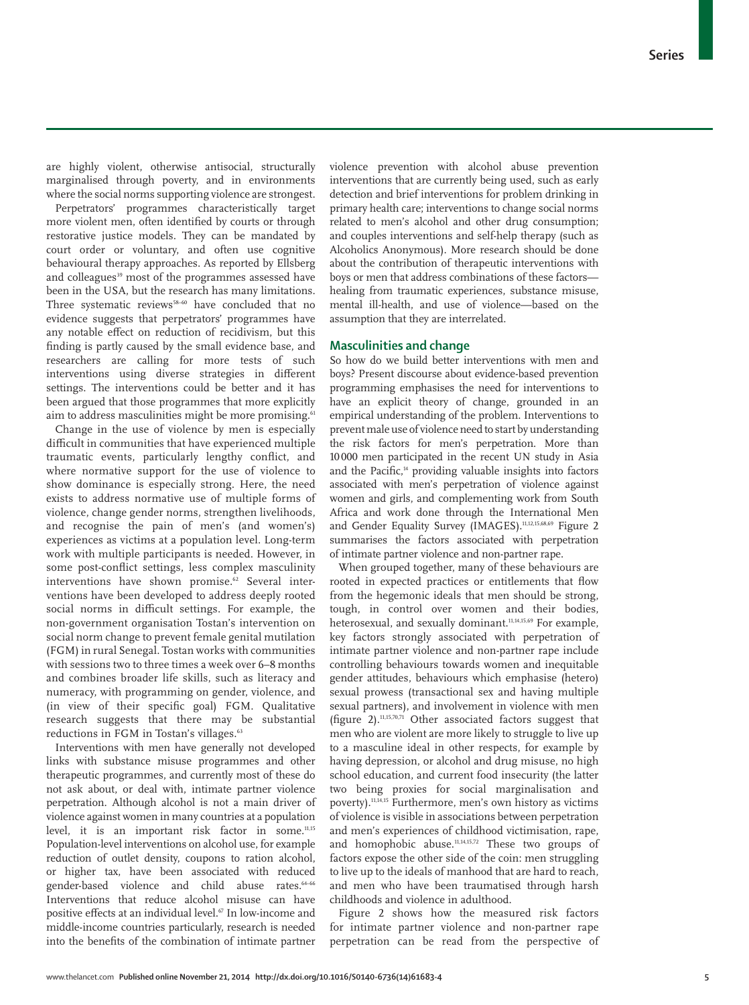are highly violent, otherwise antisocial, structurally marginalised through poverty, and in environments where the social norms supporting violence are strongest.

Perpetrators' programmes characteristically target more violent men, often identified by courts or through restorative justice models. They can be mandated by court order or voluntary, and often use cognitive behavioural therapy approaches. As reported by Ellsberg and colleagues<sup>39</sup> most of the programmes assessed have been in the USA, but the research has many limitations. Three systematic reviews<sup>58-60</sup> have concluded that no evidence suggests that perpetrators' programmes have any notable effect on reduction of recidivism, but this finding is partly caused by the small evidence base, and researchers are calling for more tests of such interventions using diverse strategies in different settings. The interventions could be better and it has been argued that those programmes that more explicitly aim to address masculinities might be more promising.<sup>61</sup>

Change in the use of violence by men is especially difficult in communities that have experienced multiple traumatic events, particularly lengthy conflict, and where normative support for the use of violence to show dominance is especially strong. Here, the need exists to address normative use of multiple forms of violence, change gender norms, strengthen livelihoods, and recognise the pain of men's (and women's) experiences as victims at a population level. Long-term work with multiple participants is needed. However, in some post-conflict settings, less complex masculinity interventions have shown promise.<sup>62</sup> Several interventions have been developed to address deeply rooted social norms in difficult settings. For example, the non-government organisation Tostan's intervention on social norm change to prevent female genital mutilation (FGM) in rural Senegal. Tostan works with communities with sessions two to three times a week over 6–8 months and combines broader life skills, such as literacy and numeracy, with programming on gender, violence, and (in view of their specific goal) FGM. Qualitative research suggests that there may be substantial reductions in FGM in Tostan's villages.<sup>63</sup>

Interventions with men have generally not developed links with substance misuse programmes and other therapeutic programmes, and currently most of these do not ask about, or deal with, intimate partner violence perpetration. Although alcohol is not a main driver of violence against women in many countries at a population level, it is an important risk factor in some.11,15 Population-level interventions on alcohol use, for example reduction of outlet density, coupons to ration alcohol, or higher tax, have been associated with reduced gender-based violence and child abuse rates.<sup>64-66</sup> Interventions that reduce alcohol misuse can have positive effects at an individual level.67 In low-income and middle-income countries particularly, research is needed into the benefits of the combination of intimate partner violence prevention with alcohol abuse prevention interventions that are currently being used, such as early detection and brief interventions for problem drinking in primary health care; interventions to change social norms related to men's alcohol and other drug consumption; and couples interventions and self-help therapy (such as Alcoholics Anonymous). More research should be done about the contribution of therapeutic interventions with boys or men that address combinations of these factors healing from traumatic experiences, substance misuse, mental ill-health, and use of violence—based on the assumption that they are interrelated.

# **Masculinities and change**

So how do we build better interventions with men and boys? Present discourse about evidence-based prevention programming emphasises the need for interventions to have an explicit theory of change, grounded in an empirical understanding of the problem. Interventions to prevent male use of violence need to start by understanding the risk factors for men's perpetration. More than 10000 men participated in the recent UN study in Asia and the Pacific, $44$  providing valuable insights into factors associated with men's perpetration of violence against women and girls, and complementing work from South Africa and work done through the International Men and Gender Equality Survey (IMAGES).<sup>11,12,15,68,69</sup> Figure 2 summarises the factors associated with perpetration of intimate partner violence and non-partner rape.

When grouped together, many of these behaviours are rooted in expected practices or entitlements that flow from the hegemonic ideals that men should be strong, tough, in control over women and their bodies, heterosexual, and sexually dominant.<sup>11,14,15,69</sup> For example, key factors strongly associated with perpetration of intimate partner violence and non-partner rape include controlling behaviours towards women and inequitable gender attitudes, behaviours which emphasise (hetero) sexual prowess (transactional sex and having multiple sexual partners), and involvement in violence with men (figure  $2)$ ,  $1,15,70,71$  Other associated factors suggest that men who are violent are more likely to struggle to live up to a masculine ideal in other respects, for example by having depression, or alcohol and drug misuse, no high school education, and current food insecurity (the latter two being proxies for social marginalisation and poverty).11,14,15 Furthermore, men's own history as victims of violence is visible in associations between perpetration and men's experiences of childhood victimisation, rape, and homophobic abuse. $11,14,15,72$  These two groups of factors expose the other side of the coin: men struggling to live up to the ideals of manhood that are hard to reach, and men who have been traumatised through harsh childhoods and violence in adulthood.

Figure 2 shows how the measured risk factors for intimate partner violence and non-partner rape perpetration can be read from the perspective of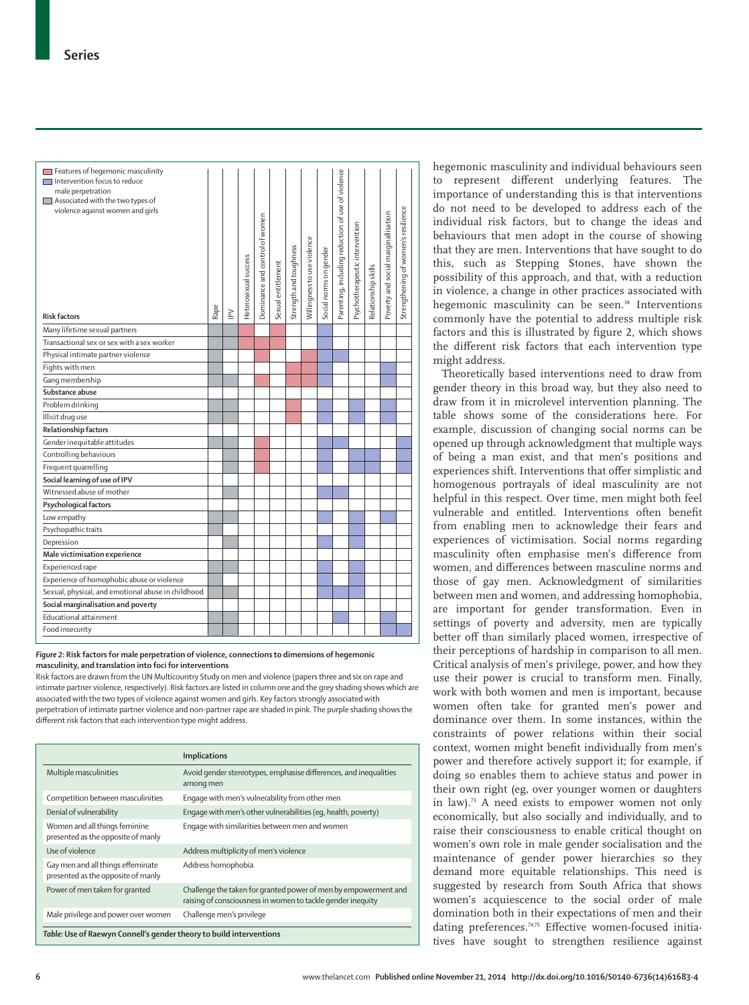| Features of hegemonic masculinity<br>Intervention focus to reduce<br>male perpetration<br>Associated with the two types of<br>violence against women and girls | Rape |        | Heterosexual success | Dominance and control of women | Sexual entitlement | Strength and toughness | Willingness to use violence | Social norms on gender | Parenting, including reduction of use of violence | Psychotherapeutic intervention | Relationship skills | Poverty and social marginallisation | Strengthening of women's resilience |
|----------------------------------------------------------------------------------------------------------------------------------------------------------------|------|--------|----------------------|--------------------------------|--------------------|------------------------|-----------------------------|------------------------|---------------------------------------------------|--------------------------------|---------------------|-------------------------------------|-------------------------------------|
| <b>Risk factors</b>                                                                                                                                            |      | $\geq$ |                      |                                |                    |                        |                             |                        |                                                   |                                |                     |                                     |                                     |
| Many lifetime sexual partners                                                                                                                                  |      |        |                      |                                |                    |                        |                             |                        |                                                   |                                |                     |                                     |                                     |
| Transactional sex or sex with a sex worker                                                                                                                     |      |        |                      |                                |                    |                        |                             |                        |                                                   |                                |                     |                                     |                                     |
| Physical intimate partner violence                                                                                                                             |      |        |                      |                                |                    |                        |                             |                        |                                                   |                                |                     |                                     |                                     |
| Fights with men                                                                                                                                                |      |        |                      |                                |                    |                        |                             |                        |                                                   |                                |                     |                                     |                                     |
| Gang membership                                                                                                                                                |      |        |                      |                                |                    |                        |                             |                        |                                                   |                                |                     |                                     |                                     |
| Substance abuse                                                                                                                                                |      |        |                      |                                |                    |                        |                             |                        |                                                   |                                |                     |                                     |                                     |
| Problem drinking                                                                                                                                               |      |        |                      |                                |                    |                        |                             |                        |                                                   |                                |                     |                                     |                                     |
| Illicit drug use                                                                                                                                               |      |        |                      |                                |                    |                        |                             |                        |                                                   |                                |                     |                                     |                                     |
| Relationship factors                                                                                                                                           |      |        |                      |                                |                    |                        |                             |                        |                                                   |                                |                     |                                     |                                     |
| Gender inequitable attitudes                                                                                                                                   |      |        |                      |                                |                    |                        |                             |                        |                                                   |                                |                     |                                     |                                     |
| Controlling behaviours                                                                                                                                         |      |        |                      |                                |                    |                        |                             |                        |                                                   |                                |                     |                                     |                                     |
| Frequent quarrelling                                                                                                                                           |      |        |                      |                                |                    |                        |                             |                        |                                                   |                                |                     |                                     |                                     |
| Social learning of use of IPV                                                                                                                                  |      |        |                      |                                |                    |                        |                             |                        |                                                   |                                |                     |                                     |                                     |
| Witnessed abuse of mother                                                                                                                                      |      |        |                      |                                |                    |                        |                             |                        |                                                   |                                |                     |                                     |                                     |
| Psychological factors                                                                                                                                          |      |        |                      |                                |                    |                        |                             |                        |                                                   |                                |                     |                                     |                                     |
| Low empathy                                                                                                                                                    |      |        |                      |                                |                    |                        |                             |                        |                                                   |                                |                     |                                     |                                     |
| Psychopathic traits                                                                                                                                            |      |        |                      |                                |                    |                        |                             |                        |                                                   |                                |                     |                                     |                                     |
| Depression                                                                                                                                                     |      |        |                      |                                |                    |                        |                             |                        |                                                   |                                |                     |                                     |                                     |
| Male victimisation experience                                                                                                                                  |      |        |                      |                                |                    |                        |                             |                        |                                                   |                                |                     |                                     |                                     |
| Experienced rape                                                                                                                                               |      |        |                      |                                |                    |                        |                             |                        |                                                   |                                |                     |                                     |                                     |
| Experience of homophobic abuse or violence                                                                                                                     |      |        |                      |                                |                    |                        |                             |                        |                                                   |                                |                     |                                     |                                     |
| Sexual, physical, and emotional abuse in childhood                                                                                                             |      |        |                      |                                |                    |                        |                             |                        |                                                   |                                |                     |                                     |                                     |
| Social marginalisation and poverty                                                                                                                             |      |        |                      |                                |                    |                        |                             |                        |                                                   |                                |                     |                                     |                                     |
| Educational attainment                                                                                                                                         |      |        |                      |                                |                    |                        |                             |                        |                                                   |                                |                     |                                     |                                     |
| Food insecurity                                                                                                                                                |      |        |                      |                                |                    |                        |                             |                        |                                                   |                                |                     |                                     |                                     |

## *Figure 2:* **Risk factors for male perpetration of violence, connections to dimensions of hegemonic masculinity, and translation into foci for interventions**

Risk factors are drawn from the UN Multicountry Study on men and violence (papers three and six on rape and intimate partner violence, respectively). Risk factors are listed in column one and the grey shading shows which are associated with the two types of violence against women and girls. Key factors strongly associated with perpetration of intimate partner violence and non-partner rape are shaded in pink. The purple shading shows the different risk factors that each intervention type might address.

|                                                                         | Implications                                                                                                                   |  |  |  |
|-------------------------------------------------------------------------|--------------------------------------------------------------------------------------------------------------------------------|--|--|--|
| Multiple masculinities                                                  | Avoid gender stereotypes, emphasise differences, and inequalities<br>among men                                                 |  |  |  |
| Competition between masculinities                                       | Engage with men's vulnerability from other men                                                                                 |  |  |  |
| Denial of vulnerability                                                 | Engage with men's other vulnerabilities (eg, health, poverty)                                                                  |  |  |  |
| Women and all things feminine<br>presented as the opposite of manly     | Engage with similarities between men and women                                                                                 |  |  |  |
| Use of violence                                                         | Address multiplicity of men's violence                                                                                         |  |  |  |
| Gay men and all things effeminate<br>presented as the opposite of manly | Address homophobia                                                                                                             |  |  |  |
| Power of men taken for granted                                          | Challenge the taken for granted power of men by empowerment and<br>raising of consciousness in women to tackle gender inequity |  |  |  |
| Male privilege and power over women                                     | Challenge men's privilege                                                                                                      |  |  |  |
| Table: Use of Raewyn Connell's gender theory to build interventions     |                                                                                                                                |  |  |  |

hegemonic masculinity and individual behaviours seen to represent different underlying features. The importance of understanding this is that interventions do not need to be developed to address each of the individual risk factors, but to change the ideas and behaviours that men adopt in the course of showing that they are men. Interventions that have sought to do this, such as Stepping Stones, have shown the possibility of this approach, and that, with a reduction in violence, a change in other practices associated with hegemonic masculinity can be seen.<sup>38</sup> Interventions commonly have the potential to address multiple risk factors and this is illustrated by figure 2, which shows the different risk factors that each intervention type might address.

Theoretically based interventions need to draw from gender theory in this broad way, but they also need to draw from it in microlevel intervention planning. The table shows some of the considerations here. For example, discussion of changing social norms can be opened up through acknowledgment that multiple ways of being a man exist, and that men's positions and experiences shift. Interventions that offer simplistic and homogenous portrayals of ideal masculinity are not helpful in this respect. Over time, men might both feel vulnerable and entitled. Interventions often benefit from enabling men to acknowledge their fears and experiences of victimisation. Social norms regarding masculinity often emphasise men's difference from women, and differences between masculine norms and those of gay men. Acknowledgment of similarities between men and women, and addressing homophobia, are important for gender transformation. Even in settings of poverty and adversity, men are typically better off than similarly placed women, irrespective of their perceptions of hardship in comparison to all men. Critical analysis of men's privilege, power, and how they use their power is crucial to transform men. Finally, work with both women and men is important, because women often take for granted men's power and dominance over them. In some instances, within the constraints of power relations within their social context, women might benefit individually from men's power and therefore actively support it; for example, if doing so enables them to achieve status and power in their own right (eg, over younger women or daughters in law).<sup>73</sup> A need exists to empower women not only economically, but also socially and individually, and to raise their consciousness to enable critical thought on women's own role in male gender socialisation and the maintenance of gender power hierarchies so they demand more equitable relationships. This need is suggested by research from South Africa that shows women's acquiescence to the social order of male domination both in their expectations of men and their dating preferences.74,75 Effective women-focused initiatives have sought to strengthen resilience against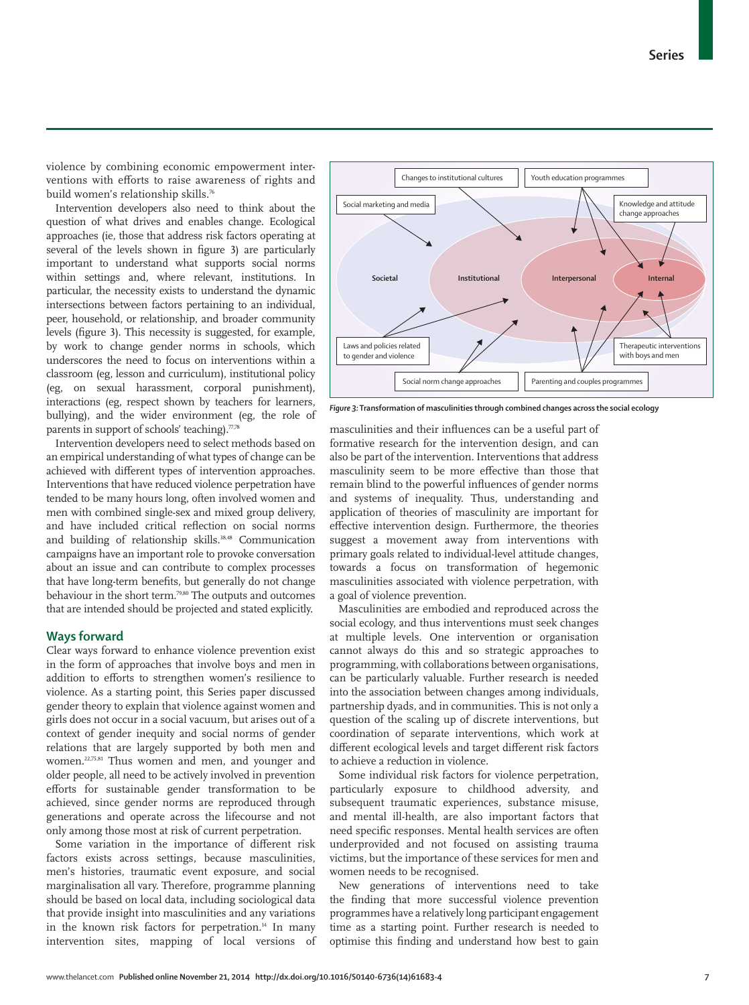www.thelancet.com **Published online November 21, 2014 http://dx.doi.org/10.1016/S0140-6736(14)61683-4 7**

violence by combining economic empowerment interventions with efforts to raise awareness of rights and build women's relationship skills.<sup>76</sup>

Intervention developers also need to think about the question of what drives and enables change. Ecological approaches (ie, those that address risk factors operating at several of the levels shown in figure 3) are particularly important to understand what supports social norms within settings and, where relevant, institutions. In particular, the necessity exists to understand the dynamic intersections between factors pertaining to an individual, peer, household, or relationship, and broader community levels (figure 3). This necessity is suggested, for example, by work to change gender norms in schools, which underscores the need to focus on interventions within a classroom (eg, lesson and curriculum), institutional policy (eg, on sexual harassment, corporal punishment), interactions (eg, respect shown by teachers for learners, bullying), and the wider environment (eg, the role of parents in support of schools' teaching). $777$ 

Intervention developers need to select methods based on an empirical understanding of what types of change can be achieved with different types of intervention approaches. Interventions that have reduced violence perpetration have tended to be many hours long, often involved women and men with combined single-sex and mixed group delivery, and have included critical reflection on social norms and building of relationship skills.38,48 Communication campaigns have an important role to provoke conversation about an issue and can contribute to complex processes that have long-term benefits, but generally do not change behaviour in the short term.79,80 The outputs and outcomes that are intended should be projected and stated explicitly.

# **Ways forward**

Clear ways forward to enhance violence prevention exist in the form of approaches that involve boys and men in addition to efforts to strengthen women's resilience to violence. As a starting point, this Series paper discussed gender theory to explain that violence against women and girls does not occur in a social vacuum, but arises out of a context of gender inequity and social norms of gender relations that are largely supported by both men and women.<sup>22,75,81</sup> Thus women and men, and younger and older people, all need to be actively involved in prevention efforts for sustainable gender transformation to be achieved, since gender norms are reproduced through generations and operate across the lifecourse and not only among those most at risk of current perpetration.

Some variation in the importance of different risk factors exists across settings, because masculinities, men's histories, traumatic event exposure, and social marginalisation all vary. Therefore, programme planning should be based on local data, including sociological data that provide insight into masculinities and any variations in the known risk factors for perpetration.<sup>14</sup> In many intervention sites, mapping of local versions of masculinities and their influences can be a useful part of formative research for the intervention design, and can also be part of the intervention. Interventions that address masculinity seem to be more effective than those that remain blind to the powerful influences of gender norms and systems of inequality. Thus, understanding and application of theories of masculinity are important for effective intervention design. Furthermore, the theories suggest a movement away from interventions with primary goals related to individual-level attitude changes, towards a focus on transformation of hegemonic masculinities associated with violence perpetration, with a goal of violence prevention.

Masculinities are embodied and reproduced across the social ecology, and thus interventions must seek changes at multiple levels. One intervention or organisation cannot always do this and so strategic approaches to programming, with collaborations between organisations, can be particularly valuable. Further research is needed into the association between changes among individuals, partnership dyads, and in communities. This is not only a question of the scaling up of discrete interventions, but coordination of separate interventions, which work at different ecological levels and target different risk factors to achieve a reduction in violence.

Some individual risk factors for violence perpetration, particularly exposure to childhood adversity, and subsequent traumatic experiences, substance misuse, and mental ill-health, are also important factors that need specific responses. Mental health services are often underprovided and not focused on assisting trauma victims, but the importance of these services for men and women needs to be recognised.

New generations of interventions need to take the finding that more successful violence prevention programmes have a relatively long participant engagement time as a starting point. Further research is needed to optimise this finding and understand how best to gain



*Figure 3:* **Transformation of masculinities through combined changes across the social ecology**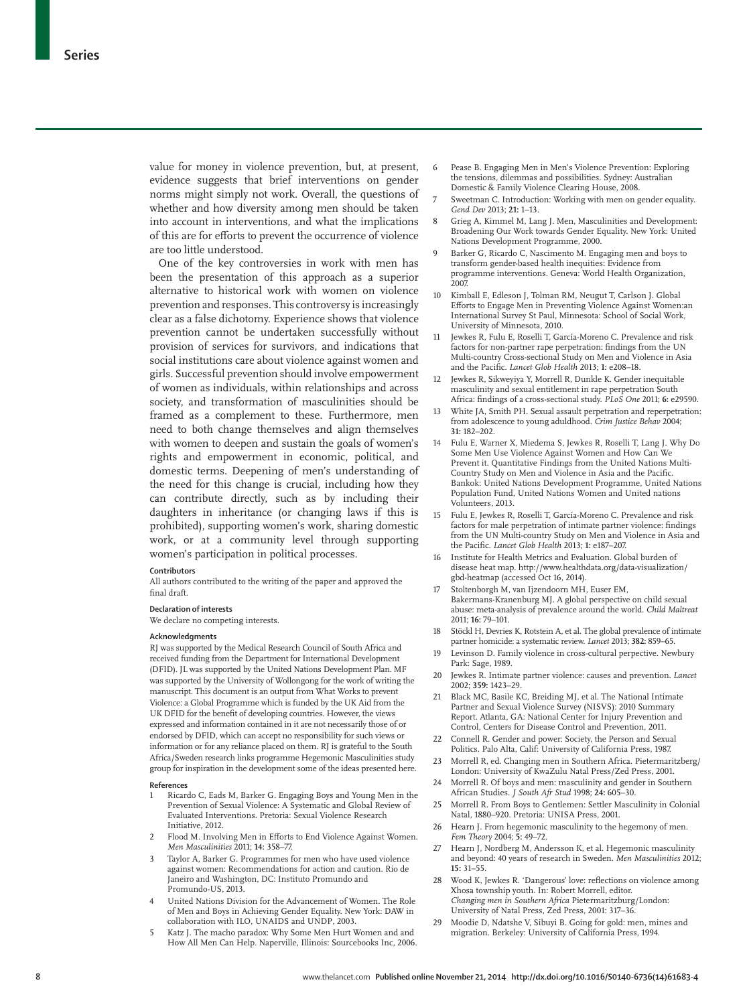value for money in violence prevention, but, at present, evidence suggests that brief interventions on gender norms might simply not work. Overall, the questions of whether and how diversity among men should be taken into account in interventions, and what the implications of this are for efforts to prevent the occurrence of violence are too little understood.

One of the key controversies in work with men has been the presentation of this approach as a superior alternative to historical work with women on violence prevention and responses. This controversy is increasingly clear as a false dichotomy. Experience shows that violence prevention cannot be undertaken successfully without provision of services for survivors, and indications that social institutions care about violence against women and girls. Successful prevention should involve empowerment of women as individuals, within relationships and across society, and transformation of masculinities should be framed as a complement to these. Furthermore, men need to both change themselves and align themselves with women to deepen and sustain the goals of women's rights and empowerment in economic, political, and domestic terms. Deepening of men's understanding of the need for this change is crucial, including how they can contribute directly, such as by including their daughters in inheritance (or changing laws if this is prohibited), supporting women's work, sharing domestic work, or at a community level through supporting women's participation in political processes.

#### **Contributors**

All authors contributed to the writing of the paper and approved the final draft.

### **Declaration of interests**

We declare no competing interests.

#### **Acknowledgments**

RJ was supported by the Medical Research Council of South Africa and received funding from the Department for International Development (DFID). JL was supported by the United Nations Development Plan. MF was supported by the University of Wollongong for the work of writing the manuscript. This document is an output from What Works to prevent Violence: a Global Programme which is funded by the UK Aid from the UK DFID for the benefit of developing countries. However, the views expressed and information contained in it are not necessarily those of or endorsed by DFID, which can accept no responsibility for such views or information or for any reliance placed on them. RJ is grateful to the South Africa/Sweden research links programme Hegemonic Masculinities study group for inspiration in the development some of the ideas presented here.

#### **References**

- 1 Ricardo C, Eads M, Barker G. Engaging Boys and Young Men in the Prevention of Sexual Violence: A Systematic and Global Review of Evaluated Interventions. Pretoria: Sexual Violence Research Initiative, 2012.
- 2 Flood M. Involving Men in Efforts to End Violence Against Women. *Men Masculinities* 2011; **14:** 358–77.
- 3 Taylor A, Barker G. Programmes for men who have used violence against women: Recommendations for action and caution. Rio de Janeiro and Washington, DC: Instituto Promundo and Promundo-US, 2013.
- 4 United Nations Division for the Advancement of Women. The Role of Men and Boys in Achieving Gender Equality. New York: DAW in collaboration with ILO, UNAIDS and UNDP, 2003.
- 5 Katz J. The macho paradox: Why Some Men Hurt Women and and How All Men Can Help. Naperville, Illinois: Sourcebooks Inc, 2006.
- 6 Pease B. Engaging Men in Men's Violence Prevention: Exploring the tensions, dilemmas and possibilities. Sydney: Australian Domestic & Family Violence Clearing House, 2008.
- Sweetman C. Introduction: Working with men on gender equality. *Gend Dev* 2013; **21:** 1–13.
- 8 Grieg A, Kimmel M, Lang J. Men, Masculinities and Development: Broadening Our Work towards Gender Equality. New York: United Nations Development Programme, 2000.
- 9 Barker G, Ricardo C, Nascimento M. Engaging men and boys to transform gender-based health inequities: Evidence from programme interventions. Geneva: World Health Organization, 2007.
- 10 Kimball E, Edleson J, Tolman RM, Neugut T, Carlson J. Global Efforts to Engage Men in Preventing Violence Against Women:an International Survey St Paul, Minnesota: School of Social Work, University of Minnesota, 2010.
- 11 Jewkes R, Fulu E, Roselli T, García-Moreno C. Prevalence and risk factors for non-partner rape perpetration: findings from the UN Multi-country Cross-sectional Study on Men and Violence in Asia and the Pacific. *Lancet Glob Health* 2013; **1:** e208–18.
- 12 Jewkes R, Sikweyiya Y, Morrell R, Dunkle K. Gender inequitable masculinity and sexual entitlement in rape perpetration South Africa: findings of a cross-sectional study. *PLoS One* 2011; **6:** e29590.
- 13 White JA, Smith PH. Sexual assault perpetration and reperpetration: from adolescence to young aduldhood. *Crim Justice Behav* 2004; **31:** 182–202.
- 14 Fulu E, Warner X, Miedema S, Jewkes R, Roselli T, Lang J. Why Do Some Men Use Violence Against Women and How Can We Prevent it. Quantitative Findings from the United Nations Multi-Country Study on Men and Violence in Asia and the Pacific. Bankok: United Nations Development Programme, United Nations Population Fund, United Nations Women and United nations Volunteers, 2013.
- 15 Fulu E, Jewkes R, Roselli T, García-Moreno C. Prevalence and risk factors for male perpetration of intimate partner violence: findings from the UN Multi-country Study on Men and Violence in Asia and the Pacific. *Lancet Glob Health* 2013; **1:** e187–207.
- 16 Institute for Health Metrics and Evaluation. Global burden of disease heat map. http://www.healthdata.org/data-visualization/ gbd-heatmap (accessed Oct 16, 2014).
- 17 Stoltenborgh M, van Ijzendoorn MH, Euser EM, Bakermans-Kranenburg MJ. A global perspective on child sexual abuse: meta-analysis of prevalence around the world. *Child Maltreat* 2011; **16:** 79–101.
- 18 Stöckl H, Devries K, Rotstein A, et al. The global prevalence of intimate partner homicide: a systematic review. *Lancet* 2013; **382:** 859–65.
- Levinson D. Family violence in cross-cultural perpective. Newbury Park: Sage, 1989.
- 20 Jewkes R. Intimate partner violence: causes and prevention. *Lancet* 2002; **359:** 1423–29.
- 21 Black MC, Basile KC, Breiding MJ, et al. The National Intimate Partner and Sexual Violence Survey (NISVS): 2010 Summary Report. Atlanta, GA: National Center for Injury Prevention and Control, Centers for Disease Control and Prevention, 2011.
- 22 Connell R. Gender and power: Society, the Person and Sexual Politics. Palo Alta, Calif: University of California Press, 1987.
- 23 Morrell R, ed. Changing men in Southern Africa. Pietermaritzberg/ London: University of KwaZulu Natal Press/Zed Press, 2001.
- Morrell R. Of boys and men: masculinity and gender in Southern African Studies. *J South Afr Stud* 1998; **24:** 605–30.
- 25 Morrell R. From Boys to Gentlemen: Settler Masculinity in Colonial Natal, 1880–920. Pretoria: UNISA Press, 2001.
- 26 Hearn J. From hegemonic masculinity to the hegemony of men. *Fem Theory* 2004; **5:** 49–72.
- 27 Hearn J, Nordberg M, Andersson K, et al. Hegemonic masculinity and beyond: 40 years of research in Sweden. *Men Masculinities* 2012; **15:** 31–55.
- 28 Wood K, Jewkes R. 'Dangerous' love: reflections on violence among Xhosa township youth. In: Robert Morrell, editor. *Changing men in Southern Africa* Pietermaritzburg/London: University of Natal Press, Zed Press, 2001: 317–36.
- 29 Moodie D, Ndatshe V, Sibuyi B. Going for gold: men, mines and migration. Berkeley: University of California Press, 1994.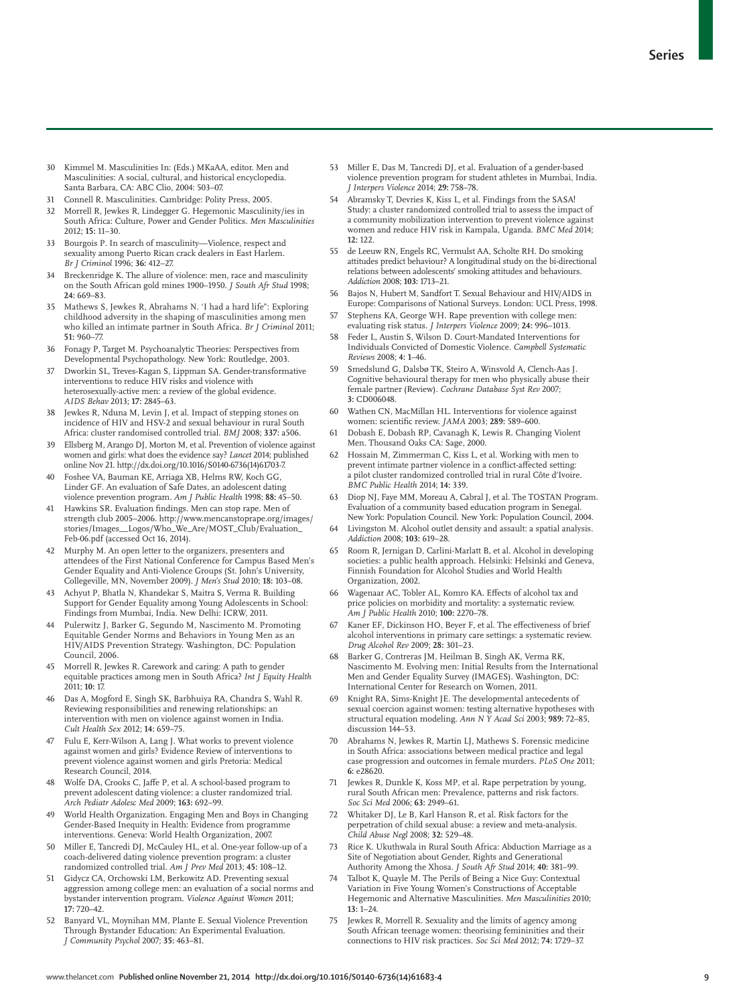- 30 Kimmel M. Masculinities In: (Eds.) MKaAA, editor. Men and Masculinities: A social, cultural, and historical encyclopedia. Santa Barbara, CA: ABC Clio, 2004: 503–07.
- 31 Connell R. Masculinities. Cambridge: Polity Press, 2005.
- 32 Morrell R, Jewkes R, Lindegger G. Hegemonic Masculinity/ies in South Africa: Culture, Power and Gender Politics. *Men Masculinities* 2012; **15:** 11–30.
- 33 Bourgois P. In search of masculinity—Violence, respect and sexuality among Puerto Rican crack dealers in East Harlem. *Br J Criminol* 1996; **36:** 412–27.
- 34 Breckenridge K. The allure of violence: men, race and masculinity on the South African gold mines 1900–1950. *J South Afr Stud* 1998; **24:** 669–83.
- 35 Mathews S, Jewkes R, Abrahams N. 'I had a hard life": Exploring childhood adversity in the shaping of masculinities among men who killed an intimate partner in South Africa. *Br J Criminol* 2011; **51:** 960–77.
- 36 Fonagy P, Target M. Psychoanalytic Theories: Perspectives from Developmental Psychopathology. New York: Routledge, 2003.
- Dworkin SL, Treves-Kagan S, Lippman SA. Gender-transformative interventions to reduce HIV risks and violence with heterosexually-active men: a review of the global evidence. *AIDS Behav* 2013; **17:** 2845–63.
- 38 Jewkes R, Nduna M, Levin J, et al. Impact of stepping stones on incidence of HIV and HSV-2 and sexual behaviour in rural South Africa: cluster randomised controlled trial. *BMJ* 2008; **337:** a506.
- 39 Ellsberg M, Arango DJ, Morton M, et al. Prevention of violence against women and girls: what does the evidence say? *Lancet* 2014; published online Nov 21. http://dx.doi.org/10.1016/S0140-6736(14)61703-7.
- 40 Foshee VA, Bauman KE, Arriaga XB, Helms RW, Koch GG, Linder GF. An evaluation of Safe Dates, an adolescent dating violence prevention program. *Am J Public Health* 1998; **88:** 45–50.
- Hawkins SR. Evaluation findings. Men can stop rape. Men of strength club 2005–2006. http://www.mencanstoprape.org/images/ stories/Images\_\_Logos/Who\_We\_Are/MOST\_Club/Evaluation\_ Feb-06.pdf (accessed Oct 16, 2014).
- 42 Murphy M. An open letter to the organizers, presenters and attendees of the First National Conference for Campus Based Men's Gender Equality and Anti-Violence Groups (St. John's University, Collegeville, MN, November 2009). *J Men's Stud* 2010; **18:** 103–08.
- Achyut P, Bhatla N, Khandekar S, Maitra S, Verma R. Building Support for Gender Equality among Young Adolescents in School: Findings from Mumbai, India. New Delhi: ICRW, 2011.
- Pulerwitz J, Barker G, Segundo M, Nascimento M. Promoting Equitable Gender Norms and Behaviors in Young Men as an HIV/AIDS Prevention Strategy. Washington, DC: Population Council, 2006.
- 45 Morrell R, Jewkes R. Carework and caring: A path to gender equitable practices among men in South Africa? *Int J Equity Health* 2011; **10:** 17.
- 46 Das A, Mogford E, Singh SK, Barbhuiya RA, Chandra S, Wahl R. Reviewing responsibilities and renewing relationships: an intervention with men on violence against women in India. *Cult Health Sex* 2012; **14:** 659–75.
- 47 Fulu E, Kerr-Wilson A, Lang J. What works to prevent violence against women and girls? Evidence Review of interventions to prevent violence against women and girls Pretoria: Medical Research Council, 2014.
- Wolfe DA, Crooks C, Jaffe P, et al. A school-based program to prevent adolescent dating violence: a cluster randomized trial. *Arch Pediatr Adolesc Med* 2009; **163:** 692–99.
- 49 World Health Organization. Engaging Men and Boys in Changing Gender-Based Inequity in Health: Evidence from programme interventions. Geneva: World Health Organization, 2007.
- 50 Miller E, Tancredi DJ, McCauley HL, et al. One-year follow-up of a coach-delivered dating violence prevention program: a cluster randomized controlled trial. *Am J Prev Med* 2013; **45:** 108–12.
- 51 Gidycz CA, Orchowski LM, Berkowitz AD. Preventing sexual aggression among college men: an evaluation of a social norms and bystander intervention program. *Violence Against Women* 2011; **17:** 720–42.
- 52 Banyard VL, Moynihan MM, Plante E. Sexual Violence Prevention Through Bystander Education: An Experimental Evaluation. *J Community Psychol* 2007; **35:** 463–81.
- 53 Miller E, Das M, Tancredi DJ, et al. Evaluation of a gender-based violence prevention program for student athletes in Mumbai, India. *J Interpers Violence* 2014; **29:** 758–78.
- Abramsky T, Devries K, Kiss L, et al. Findings from the SASA! Study: a cluster randomized controlled trial to assess the impact of a community mobilization intervention to prevent violence against women and reduce HIV risk in Kampala, Uganda. *BMC Med* 2014; **12:** 122.
- 55 de Leeuw RN, Engels RC, Vermulst AA, Scholte RH. Do smoking attitudes predict behaviour? A longitudinal study on the bi-directional relations between adolescents' smoking attitudes and behaviours. *Addiction* 2008; **103:** 1713–21.
- 56 Bajos N, Hubert M, Sandfort T. Sexual Behaviour and HIV/AIDS in Europe: Comparisons of National Surveys. London: UCL Press, 1998.
- 57 Stephens KA, George WH. Rape prevention with college men: evaluating risk status. *J Interpers Violence* 2009; **24:** 996–1013.
- 58 Feder L, Austin S, Wilson D. Court-Mandated Interventions for Individuals Convicted of Domestic Violence. *Campbell Systematic Reviews* 2008; **4: 1**–46.
- Smedslund G, Dalsbø TK, Steiro A, Winsvold A, Clench-Aas J. Cognitive behavioural therapy for men who physically abuse their female partner (Review). *Cochrane Database Syst Rev* 2007; **3:** CD006048.
- Wathen CN, MacMillan HL. Interventions for violence against women: scientific review. *JAMA* 2003; **289:** 589–600.
- 61 Dobash E, Dobash RP, Cavanagh K, Lewis R. Changing Violent Men. Thousand Oaks CA: Sage, 2000.
- Hossain M, Zimmerman C, Kiss L, et al. Working with men to prevent intimate partner violence in a conflict-affected setting: a pilot cluster randomized controlled trial in rural Côte d'Ivoire. *BMC Public Health* 2014; **14:** 339.
- 63 Diop NJ, Faye MM, Moreau A, Cabral J, et al. The TOSTAN Program. Evaluation of a community based education program in Senegal. New York: Population Council. New York: Population Council, 2004.
- Livingston M. Alcohol outlet density and assault: a spatial analysis. *Addiction* 2008; **103:** 619–28.
- 65 Room R, Jernigan D, Carlini-Marlatt B, et al. Alcohol in developing societies: a public health approach. Helsinki: Helsinki and Geneva, Finnish Foundation for Alcohol Studies and World Health Organization, 2002.
- Wagenaar AC, Tobler AL, Komro KA. Effects of alcohol tax and price policies on morbidity and mortality: a systematic review. *Am J Public Health* 2010; **100:** 2270–78.
- Kaner EF, Dickinson HO, Beyer F, et al. The effectiveness of brief alcohol interventions in primary care settings: a systematic review. *Drug Alcohol Rev* 2009; **28:** 301–23.
- 68 Barker G, Contreras JM, Heilman B, Singh AK, Verma RK, Nascimento M. Evolving men: Initial Results from the International Men and Gender Equality Survey (IMAGES). Washington, DC: International Center for Research on Women, 2011.
- 69 Knight RA, Sims-Knight JE. The developmental antecedents of sexual coercion against women: testing alternative hypotheses with structural equation modeling. *Ann N Y Acad Sci* 2003; **989:** 72–85, discussion 144–53.
- 70 Abrahams N, Jewkes R, Martin LJ, Mathews S. Forensic medicine in South Africa: associations between medical practice and legal case progression and outcomes in female murders. *PLoS One* 2011; **6:** e28620.
- Jewkes R, Dunkle K, Koss MP, et al. Rape perpetration by young, rural South African men: Prevalence, patterns and risk factors. *Soc Sci Med* 2006; **63:** 2949–61.
- 72 Whitaker DJ, Le B, Karl Hanson R, et al. Risk factors for the perpetration of child sexual abuse: a review and meta-analysis. *Child Abuse Negl* 2008; **32:** 529–48.
- 73 Rice K. Ukuthwala in Rural South Africa: Abduction Marriage as a Site of Negotiation about Gender, Rights and Generational Authority Among the Xhosa. *J South Afr Stud* 2014; **40:** 381–99.
- 74 Talbot K, Quayle M. The Perils of Being a Nice Guy: Contextual Variation in Five Young Women's Constructions of Acceptable Hegemonic and Alternative Masculinities. *Men Masculinities* 2010; **13:** 1–24.
- 75 Jewkes R, Morrell R. Sexuality and the limits of agency among South African teenage women: theorising femininities and their connections to HIV risk practices. *Soc Sci Med* 2012; **74:** 1729–37.